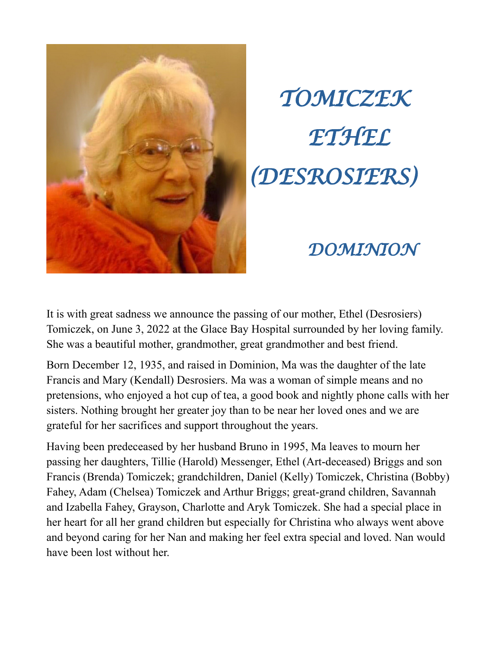

## *TOMICZEK ETHEL (DESROSIERS)*

## *DOMINION*

It is with great sadness we announce the passing of our mother, Ethel (Desrosiers) Tomiczek, on June 3, 2022 at the Glace Bay Hospital surrounded by her loving family. She was a beautiful mother, grandmother, great grandmother and best friend.

Born December 12, 1935, and raised in Dominion, Ma was the daughter of the late Francis and Mary (Kendall) Desrosiers. Ma was a woman of simple means and no pretensions, who enjoyed a hot cup of tea, a good book and nightly phone calls with her sisters. Nothing brought her greater joy than to be near her loved ones and we are grateful for her sacrifices and support throughout the years.

Having been predeceased by her husband Bruno in 1995, Ma leaves to mourn her passing her daughters, Tillie (Harold) Messenger, Ethel (Art-deceased) Briggs and son Francis (Brenda) Tomiczek; grandchildren, Daniel (Kelly) Tomiczek, Christina (Bobby) Fahey, Adam (Chelsea) Tomiczek and Arthur Briggs; great-grand children, Savannah and Izabella Fahey, Grayson, Charlotte and Aryk Tomiczek. She had a special place in her heart for all her grand children but especially for Christina who always went above and beyond caring for her Nan and making her feel extra special and loved. Nan would have been lost without her.